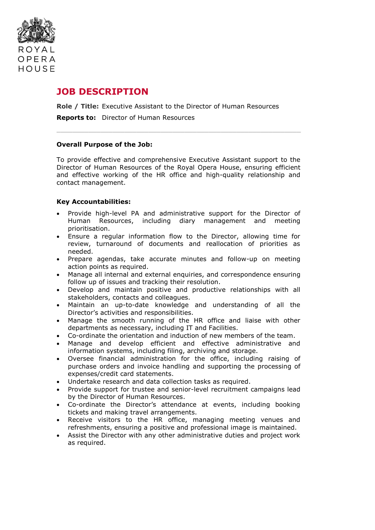

# **JOB DESCRIPTION**

**Role / Title:** Executive Assistant to the Director of Human Resources

**Reports to:** Director of Human Resources

#### **Overall Purpose of the Job:**

To provide effective and comprehensive Executive Assistant support to the Director of Human Resources of the Royal Opera House, ensuring efficient and effective working of the HR office and high-quality relationship and contact management.

 $\_$  , and the state of the state of the state of the state of the state of the state of the state of the state of the state of the state of the state of the state of the state of the state of the state of the state of the

#### **Key Accountabilities:**

- Provide high-level PA and administrative support for the Director of Human Resources, including diary management and meeting prioritisation.
- Ensure a regular information flow to the Director, allowing time for review, turnaround of documents and reallocation of priorities as needed.
- Prepare agendas, take accurate minutes and follow-up on meeting action points as required.
- Manage all internal and external enquiries, and correspondence ensuring follow up of issues and tracking their resolution.
- Develop and maintain positive and productive relationships with all stakeholders, contacts and colleagues.
- Maintain an up-to-date knowledge and understanding of all the Director's activities and responsibilities.
- Manage the smooth running of the HR office and liaise with other departments as necessary, including IT and Facilities.
- Co-ordinate the orientation and induction of new members of the team.
- Manage and develop efficient and effective administrative and information systems, including filing, archiving and storage.
- Oversee financial administration for the office, including raising of purchase orders and invoice handling and supporting the processing of expenses/credit card statements.
- Undertake research and data collection tasks as required.
- Provide support for trustee and senior-level recruitment campaigns lead by the Director of Human Resources.
- Co-ordinate the Director's attendance at events, including booking tickets and making travel arrangements.
- Receive visitors to the HR office, managing meeting venues and refreshments, ensuring a positive and professional image is maintained.
- Assist the Director with any other administrative duties and project work as required.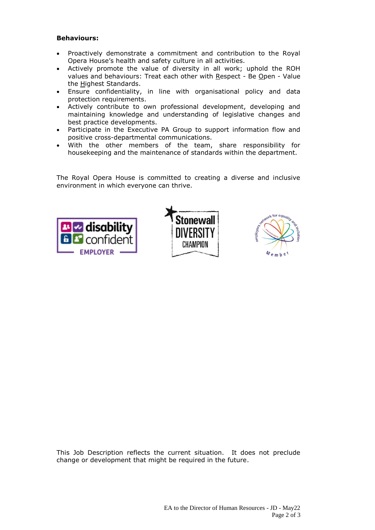## **Behaviours:**

- Proactively demonstrate a commitment and contribution to the Royal Opera House's health and safety culture in all activities.
- Actively promote the value of diversity in all work; uphold the ROH values and behaviours: Treat each other with Respect - Be Open - Value the Highest Standards.
- Ensure confidentiality, in line with organisational policy and data protection requirements.
- Actively contribute to own professional development, developing and maintaining knowledge and understanding of legislative changes and best practice developments.
- Participate in the Executive PA Group to support information flow and positive cross-departmental communications.
- With the other members of the team, share responsibility for housekeeping and the maintenance of standards within the department.

The Royal Opera House is committed to creating a diverse and inclusive environment in which everyone can thrive.







This Job Description reflects the current situation. It does not preclude change or development that might be required in the future.